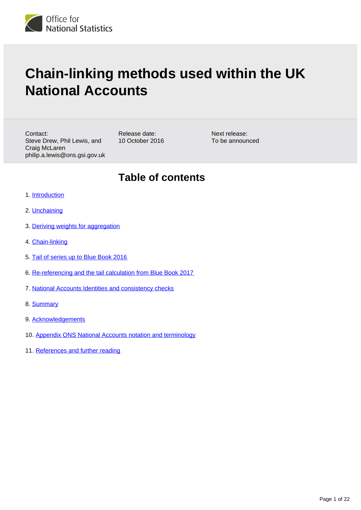

# **Chain-linking methods used within the UK National Accounts**

Contact: Steve Drew, Phil Lewis, and Craig McLaren philip.a.lewis@ons.gsi.gov.uk Release date: 10 October 2016 Next release: To be announced

# **Table of contents**

- 1. [Introduction](#page-1-0)
- 2. [Unchaining](#page-3-0)
- 3. [Deriving weights for aggregation](#page-7-0)
- 4. [Chain-linking](#page-8-0)
- 5. [Tail of series up to Blue Book 2016](#page-11-0)
- 6. [Re-referencing and the tail calculation from Blue Book 2017](#page-12-0)
- 7. [National Accounts Identities and consistency checks](#page-16-0)
- 8. [Summary](#page-18-0)
- 9. [Acknowledgements](#page-18-1)
- 10. [Appendix ONS National Accounts notation and terminology](#page-18-2)
- 11. [References and further reading](#page-20-0)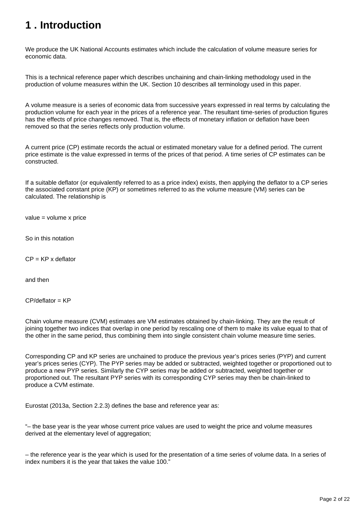# <span id="page-1-0"></span>**1 . Introduction**

We produce the UK National Accounts estimates which include the calculation of volume measure series for economic data.

This is a technical reference paper which describes unchaining and chain-linking methodology used in the production of volume measures within the UK. Section 10 describes all terminology used in this paper.

A volume measure is a series of economic data from successive years expressed in real terms by calculating the production volume for each year in the prices of a reference year. The resultant time-series of production figures has the effects of price changes removed. That is, the effects of monetary inflation or deflation have been removed so that the series reflects only production volume.

A current price (CP) estimate records the actual or estimated monetary value for a defined period. The current price estimate is the value expressed in terms of the prices of that period. A time series of CP estimates can be constructed.

If a suitable deflator (or equivalently referred to as a price index) exists, then applying the deflator to a CP series the associated constant price (KP) or sometimes referred to as the volume measure (VM) series can be calculated. The relationship is

value = volume x price

So in this notation

 $CP = KP \times$  deflator

and then

CP/deflator = KP

Chain volume measure (CVM) estimates are VM estimates obtained by chain-linking. They are the result of joining together two indices that overlap in one period by rescaling one of them to make its value equal to that of the other in the same period, thus combining them into single consistent chain volume measure time series.

Corresponding CP and KP series are unchained to produce the previous year's prices series (PYP) and current year's prices series (CYP). The PYP series may be added or subtracted, weighted together or proportioned out to produce a new PYP series. Similarly the CYP series may be added or subtracted, weighted together or proportioned out. The resultant PYP series with its corresponding CYP series may then be chain-linked to produce a CVM estimate.

Eurostat (2013a, Section 2.2.3) defines the base and reference year as:

"– the base year is the year whose current price values are used to weight the price and volume measures derived at the elementary level of aggregation;

– the reference year is the year which is used for the presentation of a time series of volume data. In a series of index numbers it is the year that takes the value 100."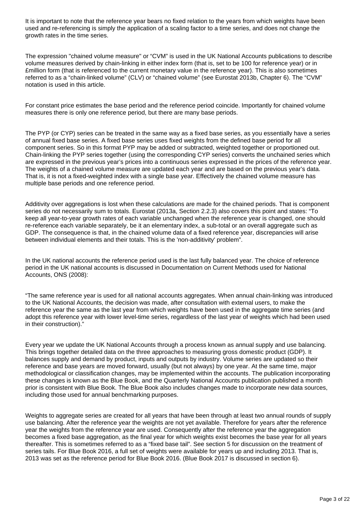It is important to note that the reference year bears no fixed relation to the years from which weights have been used and re-referencing is simply the application of a scaling factor to a time series, and does not change the growth rates in the time series.

The expression "chained volume measure" or "CVM" is used in the UK National Accounts publications to describe volume measures derived by chain-linking in either index form (that is, set to be 100 for reference year) or in £million form (that is referenced to the current monetary value in the reference year). This is also sometimes referred to as a "chain-linked volume" (CLV) or "chained volume" (see Eurostat 2013b, Chapter 6). The "CVM" notation is used in this article.

For constant price estimates the base period and the reference period coincide. Importantly for chained volume measures there is only one reference period, but there are many base periods.

The PYP (or CYP) series can be treated in the same way as a fixed base series, as you essentially have a series of annual fixed base series. A fixed base series uses fixed weights from the defined base period for all component series. So in this format PYP may be added or subtracted, weighted together or proportioned out. Chain-linking the PYP series together (using the corresponding CYP series) converts the unchained series which are expressed in the previous year's prices into a continuous series expressed in the prices of the reference year. The weights of a chained volume measure are updated each year and are based on the previous year's data. That is, it is not a fixed-weighted index with a single base year. Effectively the chained volume measure has multiple base periods and one reference period.

Additivity over aggregations is lost when these calculations are made for the chained periods. That is component series do not necessarily sum to totals. Eurostat (2013a, Section 2.2.3) also covers this point and states: "To keep all year-to-year growth rates of each variable unchanged when the reference year is changed, one should re-reference each variable separately, be it an elementary index, a sub-total or an overall aggregate such as GDP. The consequence is that, in the chained volume data of a fixed reference year, discrepancies will arise between individual elements and their totals. This is the 'non-additivity' problem".

In the UK national accounts the reference period used is the last fully balanced year. The choice of reference period in the UK national accounts is discussed in Documentation on Current Methods used for National Accounts, ONS (2008):

"The same reference year is used for all national accounts aggregates. When annual chain-linking was introduced to the UK National Accounts, the decision was made, after consultation with external users, to make the reference year the same as the last year from which weights have been used in the aggregate time series (and adopt this reference year with lower level-time series, regardless of the last year of weights which had been used in their construction)."

Every year we update the UK National Accounts through a process known as annual supply and use balancing. This brings together detailed data on the three approaches to measuring gross domestic product (GDP). It balances supply and demand by product, inputs and outputs by industry. Volume series are updated so their reference and base years are moved forward, usually (but not always) by one year. At the same time, major methodological or classification changes, may be implemented within the accounts. The publication incorporating these changes is known as the Blue Book, and the Quarterly National Accounts publication published a month prior is consistent with Blue Book. The Blue Book also includes changes made to incorporate new data sources, including those used for annual benchmarking purposes.

Weights to aggregate series are created for all years that have been through at least two annual rounds of supply use balancing. After the reference year the weights are not yet available. Therefore for years after the reference year the weights from the reference year are used. Consequently after the reference year the aggregation becomes a fixed base aggregation, as the final year for which weights exist becomes the base year for all years thereafter. This is sometimes referred to as a "fixed base tail". See section 5 for discussion on the treatment of series tails. For Blue Book 2016, a full set of weights were available for years up and including 2013. That is, 2013 was set as the reference period for Blue Book 2016. (Blue Book 2017 is discussed in section 6).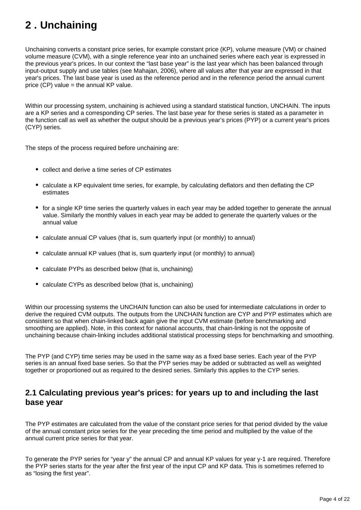# <span id="page-3-0"></span>**2 . Unchaining**

Unchaining converts a constant price series, for example constant price (KP), volume measure (VM) or chained volume measure (CVM), with a single reference year into an unchained series where each year is expressed in the previous year's prices. In our context the "last base year" is the last year which has been balanced through input-output supply and use tables (see Mahajan, 2006), where all values after that year are expressed in that year's prices. The last base year is used as the reference period and in the reference period the annual current price (CP) value = the annual KP value.

Within our processing system, unchaining is achieved using a standard statistical function, UNCHAIN. The inputs are a KP series and a corresponding CP series. The last base year for these series is stated as a parameter in the function call as well as whether the output should be a previous year's prices (PYP) or a current year's prices (CYP) series.

The steps of the process required before unchaining are:

- collect and derive a time series of CP estimates
- calculate a KP equivalent time series, for example, by calculating deflators and then deflating the CP estimates
- for a single KP time series the quarterly values in each year may be added together to generate the annual value. Similarly the monthly values in each year may be added to generate the quarterly values or the annual value
- calculate annual CP values (that is, sum quarterly input (or monthly) to annual)
- calculate annual KP values (that is, sum quarterly input (or monthly) to annual)
- calculate PYPs as described below (that is, unchaining)
- calculate CYPs as described below (that is, unchaining)

Within our processing systems the UNCHAIN function can also be used for intermediate calculations in order to derive the required CVM outputs. The outputs from the UNCHAIN function are CYP and PYP estimates which are consistent so that when chain-linked back again give the input CVM estimate (before benchmarking and smoothing are applied). Note, in this context for national accounts, that chain-linking is not the opposite of unchaining because chain-linking includes additional statistical processing steps for benchmarking and smoothing.

The PYP (and CYP) time series may be used in the same way as a fixed base series. Each year of the PYP series is an annual fixed base series. So that the PYP series may be added or subtracted as well as weighted together or proportioned out as required to the desired series. Similarly this applies to the CYP series.

### **2.1 Calculating previous year's prices: for years up to and including the last base year**

The PYP estimates are calculated from the value of the constant price series for that period divided by the value of the annual constant price series for the year preceding the time period and multiplied by the value of the annual current price series for that year.

To generate the PYP series for "year y" the annual CP and annual KP values for year y-1 are required. Therefore the PYP series starts for the year after the first year of the input CP and KP data. This is sometimes referred to as "losing the first year".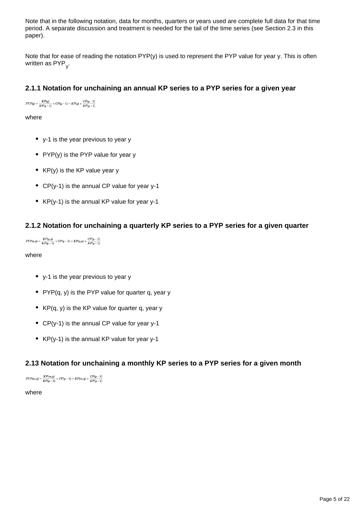Note that in the following notation, data for months, quarters or years used are complete full data for that time period. A separate discussion and treatment is needed for the tail of the time series (see Section 2.3 in this paper).

Note that for ease of reading the notation PYP(y) is used to represent the PYP value for year y. This is often written as PYP<sub>y</sub>.

### **2.1.1 Notation for unchaining an annual KP series to a PYP series for a given year**

 $PYP(y) = \frac{KP(y)}{KP(y-1)} \times CP(y-1) = KP(y) \times \frac{CP(y-1)}{KP(y-1)}$ 

where

- y-1 is the year previous to year y
- PYP(y) is the PYP value for year y
- $KP(y)$  is the KP value year y
- CP(y-1) is the annual CP value for year y-1
- KP(y-1) is the annual KP value for year y-1

### **2.1.2 Notation for unchaining a quarterly KP series to a PYP series for a given quarter**

 $PYP(q,y) = \frac{KP(q,y)}{KP(y-1)} \times CP(y-1) = KP(q,y) \times \frac{CP(y-1)}{KP(y-1)}$ 

where

- v-1 is the year previous to year y
- PYP $(q, y)$  is the PYP value for quarter q, year y
- $KP(q, y)$  is the KP value for quarter q, year y
- CP(y-1) is the annual CP value for year y-1
- KP(y-1) is the annual KP value for year y-1

#### **2.13 Notation for unchaining a monthly KP series to a PYP series for a given month**

 $PYP(m,y) = \frac{KP(m,y)}{KP(y-1)} \times CP(y-1) = KP(m,y) \times \frac{CP(y-1)}{KP(y-1)}$ 

where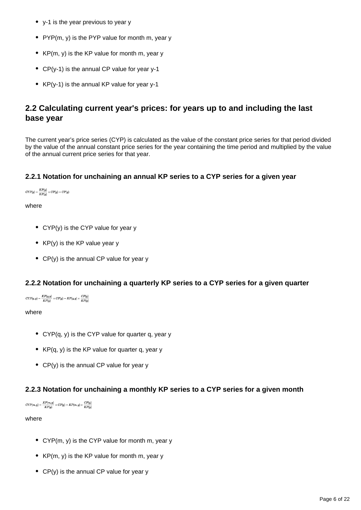- y-1 is the year previous to year y
- PYP $(m, v)$  is the PYP value for month m, year y
- $KP(m, y)$  is the KP value for month m, year y
- CP(y-1) is the annual CP value for year y-1
- KP(y-1) is the annual KP value for year y-1

## **2.2 Calculating current year's prices: for years up to and including the last base year**

The current year's price series (CYP) is calculated as the value of the constant price series for that period divided by the value of the annual constant price series for the year containing the time period and multiplied by the value of the annual current price series for that year.

### **2.2.1 Notation for unchaining an annual KP series to a CYP series for a given year**

 $\label{eq:CFP} CYP(y) = \frac{KP(y)}{KP(y)} \times CP(y) = CP(y)$ 

#### where

- CYP(y) is the CYP value for year y
- $KP(v)$  is the KP value year y
- CP(y) is the annual CP value for year y

#### **2.2.2 Notation for unchaining a quarterly KP series to a CYP series for a given quarter**

 $CYP(q, y) = \frac{KP(q, y)}{KP(y)} \times CP(y) = KP(q, y) \times \frac{CP(y)}{KP(y)}$ 

#### where

- CYP(q, y) is the CYP value for quarter q, year y
- $KP(q, y)$  is the KP value for quarter q, year y
- $CP(y)$  is the annual CP value for year y

### **2.2.3 Notation for unchaining a monthly KP series to a CYP series for a given month**

```
\label{eq:CFP} CYP(m,y) = \frac{KP(m,y)}{KP(y)} \times CP(y) = KP(m,y) \times \frac{CP(y)}{KP(y)}
```
#### where

- CYP(m, y) is the CYP value for month m, year y
- $KP(m, y)$  is the KP value for month m, year y
- $CP(y)$  is the annual CP value for year y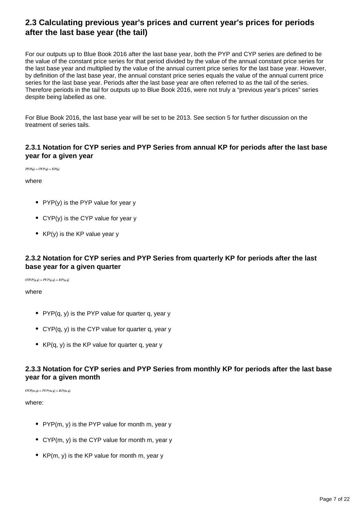## **2.3 Calculating previous year's prices and current year's prices for periods after the last base year (the tail)**

For our outputs up to Blue Book 2016 after the last base year, both the PYP and CYP series are defined to be the value of the constant price series for that period divided by the value of the annual constant price series for the last base year and multiplied by the value of the annual current price series for the last base year. However, by definition of the last base year, the annual constant price series equals the value of the annual current price series for the last base year. Periods after the last base year are often referred to as the tail of the series. Therefore periods in the tail for outputs up to Blue Book 2016, were not truly a "previous year's prices" series despite being labelled as one.

For Blue Book 2016, the last base year will be set to be 2013. See section 5 for further discussion on the treatment of series tails.

### **2.3.1 Notation for CYP series and PYP Series from annual KP for periods after the last base year for a given year**

 $PYP(y) = CYP(y) = KP(y)$ 

where

- PYP(y) is the PYP value for year y
- CYP(y) is the CYP value for year y
- KP(y) is the KP value year y

### **2.3.2 Notation for CYP series and PYP Series from quarterly KP for periods after the last base year for a given quarter**

 $CTYP(q,y) = PYP(q,y) = KP(q,y)$ 

where

- PYP $(q, y)$  is the PYP value for quarter q, year y
- CYP(q, y) is the CYP value for quarter q, year y
- $KP(q, y)$  is the KP value for quarter q, year y

### **2.3.3 Notation for CYP series and PYP Series from monthly KP for periods after the last base year for a given month**

 $\label{eq:CFP} CYP(m,y) = PYP(m,y) = KP(m,y)$ 

where:

- PYP(m, y) is the PYP value for month m, year y
- CYP(m, y) is the CYP value for month m, year y
- $KP(m, y)$  is the KP value for month m, year y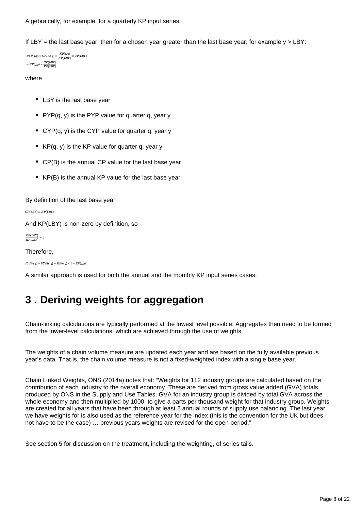Algebraically, for example, for a quarterly KP input series:

If LBY = the last base year, then for a chosen year greater than the last base year, for example  $y > LBY$ :

```
PYP(q,y) = CYP(q,y) = \frac{KP(q,y)}{KP(LBY)} \times CP(LBY)= KP(q,y) \times \frac{CP(LBY)}{KP(LBY)}
```
#### where

- LBY is the last base year
- PYP $(q, y)$  is the PYP value for quarter q, year y
- CYP(q, y) is the CYP value for quarter q, year y
- $KP(q, y)$  is the KP value for quarter q, year y
- CP(B) is the annual CP value for the last base year
- KP(B) is the annual KP value for the last base year

By definition of the last base year

 $CP(LBY) = KP(LBY)$ 

And KP(LBY) is non-zero by definition, so

 $\frac{CP(LBY)}{KP(LBY)} = 1$ 

Therefore,

 $PYP(q, y) = CYP(q, y) = KP(q, y) \times 1 = KP(q, y)$ 

A similar approach is used for both the annual and the monthly KP input series cases.

# <span id="page-7-0"></span>**3 . Deriving weights for aggregation**

Chain-linking calculations are typically performed at the lowest level possible. Aggregates then need to be formed from the lower-level calculations, which are achieved through the use of weights.

The weights of a chain volume measure are updated each year and are based on the fully available previous year's data. That is, the chain volume measure is not a fixed-weighted index with a single base year.

Chain Linked Weights, ONS (2014a) notes that: "Weights for 112 industry groups are calculated based on the contribution of each industry to the overall economy. These are derived from gross value added (GVA) totals produced by ONS in the Supply and Use Tables. GVA for an industry group is divided by total GVA across the whole economy and then multiplied by 1000, to give a parts per thousand weight for that industry group. Weights are created for all years that have been through at least 2 annual rounds of supply use balancing. The last year we have weights for is also used as the reference year for the index (this is the convention for the UK but does not have to be the case) … previous years weights are revised for the open period."

See section 5 for discussion on the treatment, including the weighting, of series tails.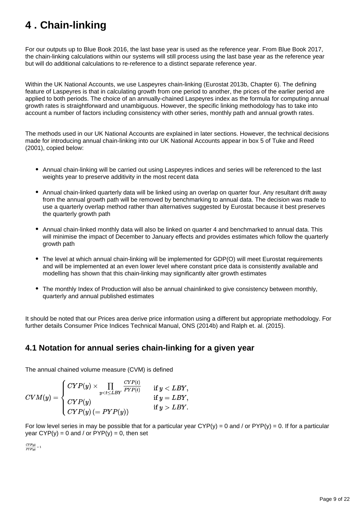# <span id="page-8-0"></span>**4 . Chain-linking**

For our outputs up to Blue Book 2016, the last base year is used as the reference year. From Blue Book 2017, the chain-linking calculations within our systems will still process using the last base year as the reference year but will do additional calculations to re-reference to a distinct separate reference year.

Within the UK National Accounts, we use Laspeyres chain-linking (Eurostat 2013b, Chapter 6). The defining feature of Laspeyres is that in calculating growth from one period to another, the prices of the earlier period are applied to both periods. The choice of an annually-chained Laspeyres index as the formula for computing annual growth rates is straightforward and unambiguous. However, the specific linking methodology has to take into account a number of factors including consistency with other series, monthly path and annual growth rates.

The methods used in our UK National Accounts are explained in later sections. However, the technical decisions made for introducing annual chain-linking into our UK National Accounts appear in box 5 of Tuke and Reed (2001), copied below:

- Annual chain-linking will be carried out using Laspeyres indices and series will be referenced to the last weights year to preserve additivity in the most recent data
- Annual chain-linked quarterly data will be linked using an overlap on quarter four. Any resultant drift away from the annual growth path will be removed by benchmarking to annual data. The decision was made to use a quarterly overlap method rather than alternatives suggested by Eurostat because it best preserves the quarterly growth path
- Annual chain-linked monthly data will also be linked on quarter 4 and benchmarked to annual data. This will minimise the impact of December to January effects and provides estimates which follow the quarterly growth path
- The level at which annual chain-linking will be implemented for GDP(O) will meet Eurostat requirements and will be implemented at an even lower level where constant price data is consistently available and modelling has shown that this chain-linking may significantly alter growth estimates
- The monthly Index of Production will also be annual chainlinked to give consistency between monthly, quarterly and annual published estimates

It should be noted that our Prices area derive price information using a different but appropriate methodology. For further details Consumer Price Indices Technical Manual, ONS (2014b) and Ralph et. al. (2015).

## **4.1 Notation for annual series chain-linking for a given year**

The annual chained volume measure (CVM) is defined

$$
CVM(y) = \left\{ \begin{aligned} CYP(y) &\times \prod_{y LBY. \end{aligned} \right.
$$

For low level series in may be possible that for a particular year  $CYP(y) = 0$  and / or  $PYP(y) = 0$ . If for a particular year  $CYP(y) = 0$  and / or  $PYP(y) = 0$ , then set

 $\frac{CYP(y)}{P(X|Y)} = 1$  $\overline{PYP(y)}$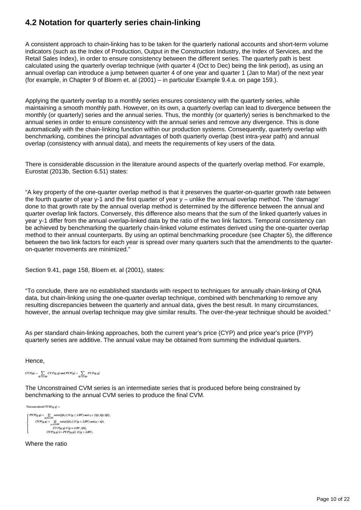# **4.2 Notation for quarterly series chain-linking**

A consistent approach to chain-linking has to be taken for the quarterly national accounts and short-term volume indicators (such as the Index of Production, Output in the Construction Industry, the Index of Services, and the Retail Sales Index), in order to ensure consistency between the different series. The quarterly path is best calculated using the quarterly overlap technique (with quarter 4 (Oct to Dec) being the link period), as using an annual overlap can introduce a jump between quarter 4 of one year and quarter 1 (Jan to Mar) of the next year (for example, in Chapter 9 of Bloem et. al (2001) – in particular Example 9.4.a. on page 159.).

Applying the quarterly overlap to a monthly series ensures consistency with the quarterly series, while maintaining a smooth monthly path. However, on its own, a quarterly overlap can lead to divergence between the monthly (or quarterly) series and the annual series. Thus, the monthly (or quarterly) series is benchmarked to the annual series in order to ensure consistency with the annual series and remove any divergence. This is done automatically with the chain-linking function within our production systems. Consequently, quarterly overlap with benchmarking, combines the principal advantages of both quarterly overlap (best intra-year path) and annual overlap (consistency with annual data), and meets the requirements of key users of the data.

There is considerable discussion in the literature around aspects of the quarterly overlap method. For example, Eurostat (2013b, Section 6.51) states:

"A key property of the one-quarter overlap method is that it preserves the quarter-on-quarter growth rate between the fourth quarter of year y-1 and the first quarter of year y – unlike the annual overlap method. The 'damage' done to that growth rate by the annual overlap method is determined by the difference between the annual and quarter overlap link factors. Conversely, this difference also means that the sum of the linked quarterly values in year y-1 differ from the annual overlap-linked data by the ratio of the two link factors. Temporal consistency can be achieved by benchmarking the quarterly chain-linked volume estimates derived using the one-quarter overlap method to their annual counterparts. By using an optimal benchmarking procedure (see Chapter 5), the difference between the two link factors for each year is spread over many quarters such that the amendments to the quarteron-quarter movements are minimized."

Section 9.41, page 158, Bloem et. al (2001), states:

"To conclude, there are no established standards with respect to techniques for annually chain-linking of QNA data, but chain-linking using the one-quarter overlap technique, combined with benchmarking to remove any resulting discrepancies between the quarterly and annual data, gives the best result. In many circumstances, however, the annual overlap technique may give similar results. The over-the-year technique should be avoided."

As per standard chain-linking approaches, both the current year's price (CYP) and price year's price (PYP) quarterly series are additive. The annual value may be obtained from summing the individual quarters.

Hence,

 $CYP(y) = \sum_{Q_1, Q_2, Q_3} CYP(q, y)$  and  $PYP(y) = \sum_{Q_1, Q_2, Q_3} PYP(q, y)$ 

The Unconstrained CVM series is an intermediate series that is produced before being constrained by benchmarking to the annual CVM series to produce the final CVM.

Unconstrained  $CVM(a, u) =$  $PYP(q, y) \times \prod_{v \leq t \leq LRV} ratio(Q4, t)$  if  $(y \leq LBY)$  and  $q \in \{Q1, Q2, Q3\},$  $CYP(q,y) \times \prod\limits_{y < t \le LBY} ratio(Q4,t)$  if  $(y < LBY)$  and  $q = Q4,$  $CYP(q, y)$  if  $(y = LBY, Q4)$ ,<br>  $CYP(q, y) (= PYP(q, y))$  if  $(y > LBY)$ .

Where the ratio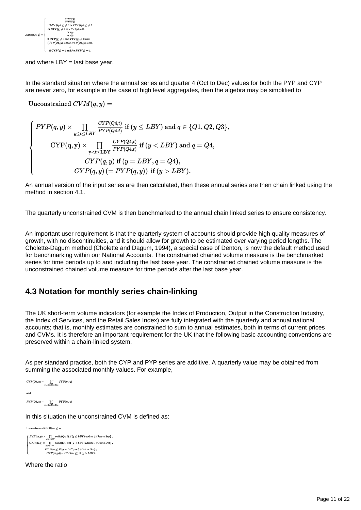

and where  $LBY = last base year$ .

In the standard situation where the annual series and quarter 4 (Oct to Dec) values for both the PYP and CYP are never zero, for example in the case of high level aggregates, then the algebra may be simplified to

Unconstrained  $CVM(q, y) =$ 

$$
\left\{\begin{aligned} PYP(q,y) &\times \prod_{y\leq t\leq LBY} \frac{CYP(Q4,t)}{PYP(Q4,t)} \text{ if }(y\leq LBY) \text{ and } q\in \{Q1,Q2,Q3\},\\ \text{CYP}(q,y) &\times \prod_{y< t\leq LBY} \frac{CYP(Q4,t)}{PYP(Q4,t)} \text{ if }(y< LBY) \text{ and } q= Q4,\\ CYP(q,y) \text{ if }(y=LBY,q=Q4),\\ CYP(q,y) \text{ (= } PYP(q,y) \text{ ) if }(y>LBY). \end{aligned}\right.
$$

An annual version of the input series are then calculated, then these annual series are then chain linked using the method in section 4.1.

The quarterly unconstrained CVM is then benchmarked to the annual chain linked series to ensure consistency.

An important user requirement is that the quarterly system of accounts should provide high quality measures of growth, with no discontinuities, and it should allow for growth to be estimated over varying period lengths. The Cholette-Dagum method (Cholette and Dagum, 1994), a special case of Denton, is now the default method used for benchmarking within our National Accounts. The constrained chained volume measure is the benchmarked series for time periods up to and including the last base year. The constrained chained volume measure is the unconstrained chained volume measure for time periods after the last base year.

## **4.3 Notation for monthly series chain-linking**

The UK short-term volume indicators (for example the Index of Production, Output in the Construction Industry, the Index of Services, and the Retail Sales Index) are fully integrated with the quarterly and annual national accounts; that is, monthly estimates are constrained to sum to annual estimates, both in terms of current prices and CVMs. It is therefore an important requirement for the UK that the following basic accounting conventions are preserved within a chain-linked system.

As per standard practice, both the CYP and PYP series are additive. A quarterly value may be obtained from summing the associated monthly values. For example,

```
CYP(Q4, y) = \sum_{Q \in \mathcal{N}_1} CYP(m, y)and
PYP(Q4, y) = \sum_{m = 0 \text{ct. Now, Dec}} PYP(m, y)
```
In this situation the unconstrained CVM is defined as:

Ilnconstrained  $CVM(m, v) =$  $\int PYP(m,y) \times \prod_{y \leq t \leq LBY} ratio(Q4,t) \text{ if }(y \leq LBY) \text{ and } m \in \{\text{Jan to Sep}\}\,,$ 

 $CYP(m, y) \times \prod_{w \in \{c, LBV\}} ratio(Q4, t)$  if  $(y < LBY)$  and  $m \in \{Oct to Dec\}$ ,  $CYP(m, y)$  if  $(y = LBY, m \in \{\text{Oct to Dec}\}\,$ ,  $CYP(m, y) (= PYP(m, y))$  if  $(y > LBY)$ 

Where the ratio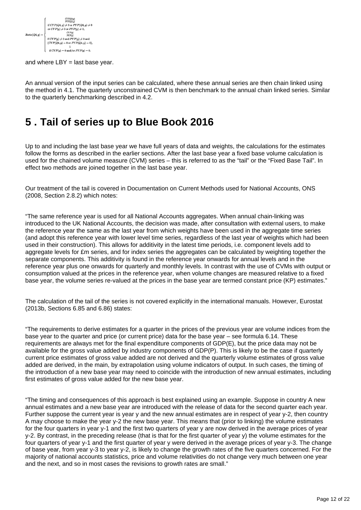

and where  $LBY = last base year$ .

An annual version of the input series can be calculated, where these annual series are then chain linked using the method in 4.1. The quarterly unconstrained CVM is then benchmark to the annual chain linked series. Similar to the quarterly benchmarking described in 4.2.

# <span id="page-11-0"></span>**5 . Tail of series up to Blue Book 2016**

Up to and including the last base year we have full years of data and weights, the calculations for the estimates follow the forms as described in the earlier sections. After the last base year a fixed base volume calculation is used for the chained volume measure (CVM) series – this is referred to as the "tail" or the "Fixed Base Tail". In effect two methods are joined together in the last base year.

Our treatment of the tail is covered in Documentation on Current Methods used for National Accounts, ONS (2008, Section 2.8.2) which notes:

"The same reference year is used for all National Accounts aggregates. When annual chain-linking was introduced to the UK National Accounts, the decision was made, after consultation with external users, to make the reference year the same as the last year from which weights have been used in the aggregate time series (and adopt this reference year with lower level time series, regardless of the last year of weights which had been used in their construction). This allows for additivity in the latest time periods, i.e. component levels add to aggregate levels for £m series, and for index series the aggregates can be calculated by weighting together the separate components. This additivity is found in the reference year onwards for annual levels and in the reference year plus one onwards for quarterly and monthly levels. In contrast with the use of CVMs with output or consumption valued at the prices in the reference year, when volume changes are measured relative to a fixed base year, the volume series re-valued at the prices in the base year are termed constant price (KP) estimates."

The calculation of the tail of the series is not covered explicitly in the international manuals. However, Eurostat (2013b, Sections 6.85 and 6.86) states:

"The requirements to derive estimates for a quarter in the prices of the previous year are volume indices from the base year to the quarter and price (or current price) data for the base year – see formula 6.14. These requirements are always met for the final expenditure components of GDP(E), but the price data may not be available for the gross value added by industry components of GDP(P). This is likely to be the case if quarterly current price estimates of gross value added are not derived and the quarterly volume estimates of gross value added are derived, in the main, by extrapolation using volume indicators of output. In such cases, the timing of the introduction of a new base year may need to coincide with the introduction of new annual estimates, including first estimates of gross value added for the new base year.

"The timing and consequences of this approach is best explained using an example. Suppose in country A new annual estimates and a new base year are introduced with the release of data for the second quarter each year. Further suppose the current year is year y and the new annual estimates are in respect of year y-2, then country A may choose to make the year y-2 the new base year. This means that (prior to linking) the volume estimates for the four quarters in year y-1 and the first two quarters of year y are now derived in the average prices of year y-2. By contrast, in the preceding release (that is that for the first quarter of year y) the volume estimates for the four quarters of year y-1 and the first quarter of year y were derived in the average prices of year y-3. The change of base year, from year y-3 to year y-2, is likely to change the growth rates of the five quarters concerned. For the majority of national accounts statistics, price and volume relativities do not change very much between one year and the next, and so in most cases the revisions to growth rates are small."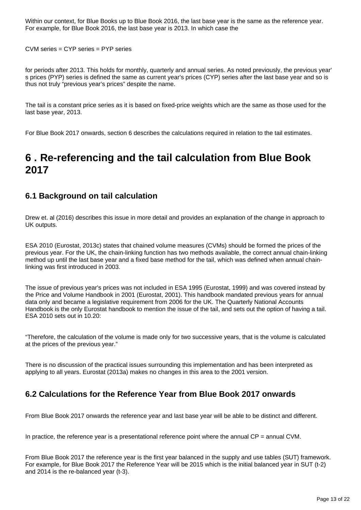Within our context, for Blue Books up to Blue Book 2016, the last base year is the same as the reference year. For example, for Blue Book 2016, the last base year is 2013. In which case the

CVM series = CYP series = PYP series

for periods after 2013. This holds for monthly, quarterly and annual series. As noted previously, the previous year' s prices (PYP) series is defined the same as current year's prices (CYP) series after the last base year and so is thus not truly "previous year's prices" despite the name.

The tail is a constant price series as it is based on fixed-price weights which are the same as those used for the last base year, 2013.

For Blue Book 2017 onwards, section 6 describes the calculations required in relation to the tail estimates.

# <span id="page-12-0"></span>**6 . Re-referencing and the tail calculation from Blue Book 2017**

### **6.1 Background on tail calculation**

Drew et. al (2016) describes this issue in more detail and provides an explanation of the change in approach to UK outputs.

ESA 2010 (Eurostat, 2013c) states that chained volume measures (CVMs) should be formed the prices of the previous year. For the UK, the chain-linking function has two methods available, the correct annual chain-linking method up until the last base year and a fixed base method for the tail, which was defined when annual chainlinking was first introduced in 2003.

The issue of previous year's prices was not included in ESA 1995 (Eurostat, 1999) and was covered instead by the Price and Volume Handbook in 2001 (Eurostat, 2001). This handbook mandated previous years for annual data only and became a legislative requirement from 2006 for the UK. The Quarterly National Accounts Handbook is the only Eurostat handbook to mention the issue of the tail, and sets out the option of having a tail. ESA 2010 sets out in 10.20:

"Therefore, the calculation of the volume is made only for two successive years, that is the volume is calculated at the prices of the previous year."

There is no discussion of the practical issues surrounding this implementation and has been interpreted as applying to all years. Eurostat (2013a) makes no changes in this area to the 2001 version.

# **6.2 Calculations for the Reference Year from Blue Book 2017 onwards**

From Blue Book 2017 onwards the reference year and last base year will be able to be distinct and different.

In practice, the reference year is a presentational reference point where the annual  $\text{CP} =$  annual CVM.

From Blue Book 2017 the reference year is the first year balanced in the supply and use tables (SUT) framework. For example, for Blue Book 2017 the Reference Year will be 2015 which is the initial balanced year in SUT (t-2) and 2014 is the re-balanced year (t-3).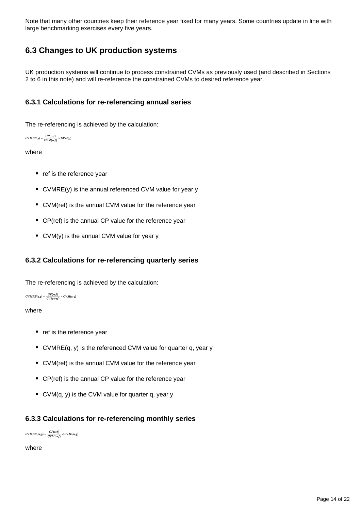Note that many other countries keep their reference year fixed for many years. Some countries update in line with large benchmarking exercises every five years.

## **6.3 Changes to UK production systems**

UK production systems will continue to process constrained CVMs as previously used (and described in Sections 2 to 6 in this note) and will re-reference the constrained CVMs to desired reference year.

### **6.3.1 Calculations for re-referencing annual series**

The re-referencing is achieved by the calculation:

```
CVMRE(y) = \frac{CP(ref)}{CVM(ref)} \times CVM(y)
```
#### where

- ref is the reference year
- CVMRE(y) is the annual referenced CVM value for year y
- CVM(ref) is the annual CVM value for the reference year
- CP(ref) is the annual CP value for the reference year
- CVM(y) is the annual CVM value for year y

#### **6.3.2 Calculations for re-referencing quarterly series**

The re-referencing is achieved by the calculation:

```
CVMRE(q,y) = \frac{CP(ref)}{CVM(ref)} \times CVM(q,y)
```
#### where

- ref is the reference year
- CVMRE(q, y) is the referenced CVM value for quarter q, year y
- CVM(ref) is the annual CVM value for the reference year
- CP(ref) is the annual CP value for the reference year
- CVM(q, y) is the CVM value for quarter q, year y

#### **6.3.3 Calculations for re-referencing monthly series**

 $\label{eq:CVMRE} CVMRE(m,y) = \frac{CP(ref)}{CVM(ref)} \times CVM(m,y)$ 

where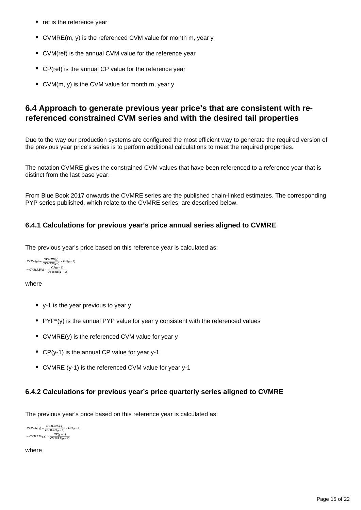- ref is the reference year
- CVMRE(m, y) is the referenced CVM value for month m, year y
- CVM(ref) is the annual CVM value for the reference year
- CP(ref) is the annual CP value for the reference year
- CVM(m, y) is the CVM value for month m, year y

### **6.4 Approach to generate previous year price's that are consistent with rereferenced constrained CVM series and with the desired tail properties**

Due to the way our production systems are configured the most efficient way to generate the required version of the previous year price's series is to perform additional calculations to meet the required properties.

The notation CVMRE gives the constrained CVM values that have been referenced to a reference year that is distinct from the last base year.

From Blue Book 2017 onwards the CVMRE series are the published chain-linked estimates. The corresponding PYP series published, which relate to the CVMRE series, are described below.

### **6.4.1 Calculations for previous year's price annual series aligned to CVMRE**

The previous year's price based on this reference year is calculated as:

```
PYP*(y) = \frac{CVMRE(y)}{CVMRE(y^-)} \times CP(y-1)= CVMRE(y) \times \frac{CP(y-1)}{CVMRE(y-1)}
```
#### where

- y-1 is the year previous to year y
- PYP\*(y) is the annual PYP value for year y consistent with the referenced values
- CVMRE(y) is the referenced CVM value for year y
- CP(y-1) is the annual CP value for year y-1
- CVMRE (y-1) is the referenced CVM value for year y-1

#### **6.4.2 Calculations for previous year's price quarterly series aligned to CVMRE**

The previous year's price based on this reference year is calculated as:

```
\label{eq:1} PYP*(q,y) = \frac{CVMRE(q,y)}{CVMRE(y-1)} \times CP(y-1)= \textit{CVMRE}(q, y) \times \frac{\textit{CP}(y - 1)}{\textit{CVMRE}(y - 1)}
```
where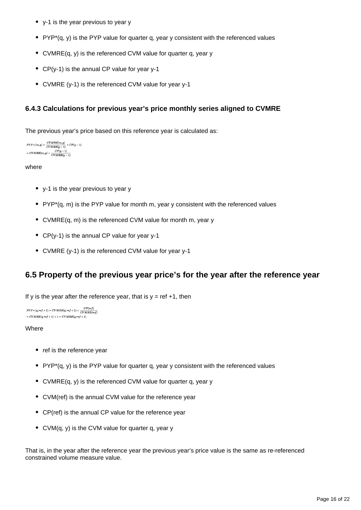- y-1 is the year previous to year y
- PYP $*(q, y)$  is the PYP value for quarter q, year y consistent with the referenced values
- CVMRE(q, y) is the referenced CVM value for quarter q, year y
- CP(y-1) is the annual CP value for year y-1
- CVMRE (y-1) is the referenced CVM value for year y-1

### **6.4.3 Calculations for previous year's price monthly series aligned to CVMRE**

The previous year's price based on this reference year is calculated as:

```
PYP*(m,y) = \frac{CVMRE(m,y)}{CVMRE(y-1)} \times CP(y-1)= CVMRE(m, y) \times \frac{CP(y-1)}{CVMRE(y-1)}
```
#### where

- y-1 is the year previous to year y
- $PYP*(q, m)$  is the PYP value for month m, year y consistent with the referenced values
- CVMRE(q, m) is the referenced CVM value for month m, year y
- CP(y-1) is the annual CP value for year y-1
- CVMRE (y-1) is the referenced CVM value for year y-1

## **6.5 Property of the previous year price's for the year after the reference year**

If y is the year after the reference year, that is  $y = ref +1$ , then

```
\label{eq:1} PYP*(q, ref+1) = CVMRE(q, ref+1) \times \frac{CP(ref)}{CVMRE(ref)}= CVMRE(q, ref + 1) \times 1 = CVMRE(q, ref + 1)
```
#### **Where**

- ref is the reference year
- PYP\*(q, y) is the PYP value for quarter q, year y consistent with the referenced values
- CVMRE(q, y) is the referenced CVM value for quarter q, year y
- CVM(ref) is the annual CVM value for the reference year
- CP(ref) is the annual CP value for the reference year
- CVM(q, y) is the CVM value for quarter q, year y

That is, in the year after the reference year the previous year's price value is the same as re-referenced constrained volume measure value.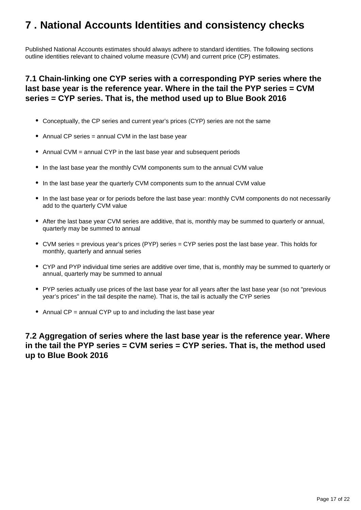# <span id="page-16-0"></span>**7 . National Accounts Identities and consistency checks**

Published National Accounts estimates should always adhere to standard identities. The following sections outline identities relevant to chained volume measure (CVM) and current price (CP) estimates.

## **7.1 Chain-linking one CYP series with a corresponding PYP series where the last base year is the reference year. Where in the tail the PYP series = CVM series = CYP series. That is, the method used up to Blue Book 2016**

- Conceptually, the CP series and current year's prices (CYP) series are not the same
- Annual CP series = annual CVM in the last base year
- Annual CVM = annual CYP in the last base year and subsequent periods
- In the last base year the monthly CVM components sum to the annual CVM value
- In the last base year the quarterly CVM components sum to the annual CVM value
- In the last base year or for periods before the last base year: monthly CVM components do not necessarily add to the quarterly CVM value
- After the last base year CVM series are additive, that is, monthly may be summed to quarterly or annual, quarterly may be summed to annual
- CVM series = previous year's prices (PYP) series = CYP series post the last base year. This holds for monthly, quarterly and annual series
- CYP and PYP individual time series are additive over time, that is, monthly may be summed to quarterly or annual, quarterly may be summed to annual
- PYP series actually use prices of the last base year for all years after the last base year (so not "previous year's prices" in the tail despite the name). That is, the tail is actually the CYP series
- Annual  $CP =$  annual CYP up to and including the last base year

### **7.2 Aggregation of series where the last base year is the reference year. Where in the tail the PYP series = CVM series = CYP series. That is, the method used up to Blue Book 2016**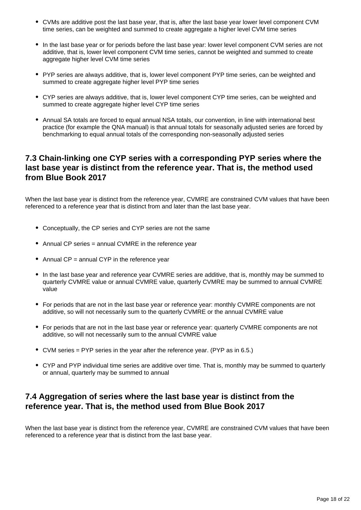- CVMs are additive post the last base year, that is, after the last base year lower level component CVM time series, can be weighted and summed to create aggregate a higher level CVM time series
- In the last base year or for periods before the last base year: lower level component CVM series are not additive, that is, lower level component CVM time series, cannot be weighted and summed to create aggregate higher level CVM time series
- PYP series are always additive, that is, lower level component PYP time series, can be weighted and summed to create aggregate higher level PYP time series
- CYP series are always additive, that is, lower level component CYP time series, can be weighted and summed to create aggregate higher level CYP time series
- Annual SA totals are forced to equal annual NSA totals, our convention, in line with international best practice (for example the QNA manual) is that annual totals for seasonally adjusted series are forced by benchmarking to equal annual totals of the corresponding non-seasonally adjusted series

## **7.3 Chain-linking one CYP series with a corresponding PYP series where the last base year is distinct from the reference year. That is, the method used from Blue Book 2017**

When the last base year is distinct from the reference year, CVMRE are constrained CVM values that have been referenced to a reference year that is distinct from and later than the last base year.

- Conceptually, the CP series and CYP series are not the same
- Annual CP series = annual CVMRE in the reference year
- Annual CP = annual CYP in the reference year
- In the last base year and reference year CVMRE series are additive, that is, monthly may be summed to quarterly CVMRE value or annual CVMRE value, quarterly CVMRE may be summed to annual CVMRE value
- For periods that are not in the last base year or reference year: monthly CVMRE components are not additive, so will not necessarily sum to the quarterly CVMRE or the annual CVMRE value
- For periods that are not in the last base year or reference year: quarterly CVMRE components are not additive, so will not necessarily sum to the annual CVMRE value
- CVM series = PYP series in the year after the reference year. (PYP as in 6.5.)
- CYP and PYP individual time series are additive over time. That is, monthly may be summed to quarterly or annual, quarterly may be summed to annual

## **7.4 Aggregation of series where the last base year is distinct from the reference year. That is, the method used from Blue Book 2017**

When the last base year is distinct from the reference year, CVMRE are constrained CVM values that have been referenced to a reference year that is distinct from the last base year.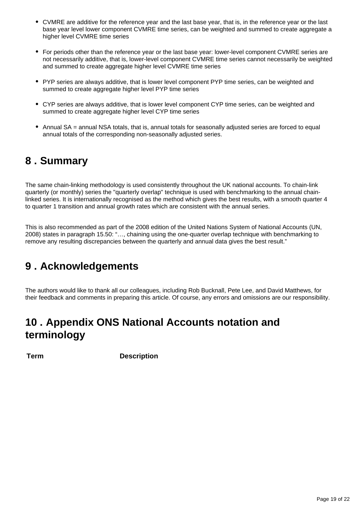- CVMRE are additive for the reference year and the last base year, that is, in the reference year or the last base year level lower component CVMRE time series, can be weighted and summed to create aggregate a higher level CVMRE time series
- For periods other than the reference year or the last base year: lower-level component CVMRE series are not necessarily additive, that is, lower-level component CVMRE time series cannot necessarily be weighted and summed to create aggregate higher level CVMRE time series
- PYP series are always additive, that is lower level component PYP time series, can be weighted and summed to create aggregate higher level PYP time series
- CYP series are always additive, that is lower level component CYP time series, can be weighted and summed to create aggregate higher level CYP time series
- Annual SA = annual NSA totals, that is, annual totals for seasonally adjusted series are forced to equal annual totals of the corresponding non-seasonally adjusted series.

# <span id="page-18-0"></span>**8 . Summary**

The same chain-linking methodology is used consistently throughout the UK national accounts. To chain-link quarterly (or monthly) series the "quarterly overlap" technique is used with benchmarking to the annual chainlinked series. It is internationally recognised as the method which gives the best results, with a smooth quarter 4 to quarter 1 transition and annual growth rates which are consistent with the annual series.

This is also recommended as part of the 2008 edition of the United Nations System of National Accounts (UN, 2008) states in paragraph 15.50: "…, chaining using the one-quarter overlap technique with benchmarking to remove any resulting discrepancies between the quarterly and annual data gives the best result."

# <span id="page-18-1"></span>**9 . Acknowledgements**

The authors would like to thank all our colleagues, including Rob Bucknall, Pete Lee, and David Matthews, for their feedback and comments in preparing this article. Of course, any errors and omissions are our responsibility.

# <span id="page-18-2"></span>**10 . Appendix ONS National Accounts notation and terminology**

**Term Description**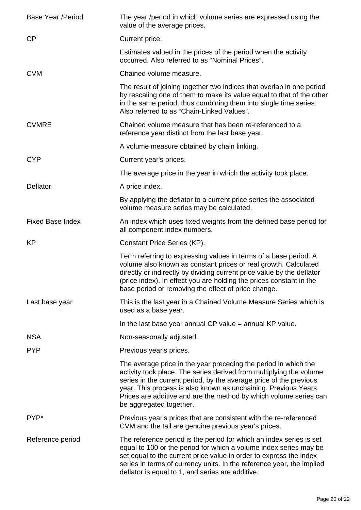| <b>Base Year /Period</b> | The year /period in which volume series are expressed using the<br>value of the average prices.                                                                                                                                                                                                                                                                                |
|--------------------------|--------------------------------------------------------------------------------------------------------------------------------------------------------------------------------------------------------------------------------------------------------------------------------------------------------------------------------------------------------------------------------|
| CP                       | Current price.                                                                                                                                                                                                                                                                                                                                                                 |
|                          | Estimates valued in the prices of the period when the activity<br>occurred. Also referred to as "Nominal Prices".                                                                                                                                                                                                                                                              |
| <b>CVM</b>               | Chained volume measure.                                                                                                                                                                                                                                                                                                                                                        |
|                          | The result of joining together two indices that overlap in one period<br>by rescaling one of them to make its value equal to that of the other<br>in the same period, thus combining them into single time series.<br>Also referred to as "Chain-Linked Values".                                                                                                               |
| <b>CVMRE</b>             | Chained volume measure that has been re-referenced to a<br>reference year distinct from the last base year.                                                                                                                                                                                                                                                                    |
|                          | A volume measure obtained by chain linking.                                                                                                                                                                                                                                                                                                                                    |
| <b>CYP</b>               | Current year's prices.                                                                                                                                                                                                                                                                                                                                                         |
|                          | The average price in the year in which the activity took place.                                                                                                                                                                                                                                                                                                                |
| Deflator                 | A price index.                                                                                                                                                                                                                                                                                                                                                                 |
|                          | By applying the deflator to a current price series the associated<br>volume measure series may be calculated.                                                                                                                                                                                                                                                                  |
| <b>Fixed Base Index</b>  | An index which uses fixed weights from the defined base period for<br>all component index numbers.                                                                                                                                                                                                                                                                             |
| <b>KP</b>                | Constant Price Series (KP).                                                                                                                                                                                                                                                                                                                                                    |
|                          | Term referring to expressing values in terms of a base period. A<br>volume also known as constant prices or real growth. Calculated<br>directly or indirectly by dividing current price value by the deflator<br>(price index). In effect you are holding the prices constant in the<br>base period or removing the effect of price change.                                    |
| Last base year           | This is the last year in a Chained Volume Measure Series which is<br>used as a base year.                                                                                                                                                                                                                                                                                      |
|                          | In the last base year annual $CP$ value = annual $KP$ value.                                                                                                                                                                                                                                                                                                                   |
| <b>NSA</b>               | Non-seasonally adjusted.                                                                                                                                                                                                                                                                                                                                                       |
| <b>PYP</b>               | Previous year's prices.                                                                                                                                                                                                                                                                                                                                                        |
|                          | The average price in the year preceding the period in which the<br>activity took place. The series derived from multiplying the volume<br>series in the current period, by the average price of the previous<br>year. This process is also known as unchaining. Previous Years<br>Prices are additive and are the method by which volume series can<br>be aggregated together. |
| PYP*                     | Previous year's prices that are consistent with the re-referenced<br>CVM and the tail are genuine previous year's prices.                                                                                                                                                                                                                                                      |
| Reference period         | The reference period is the period for which an index series is set<br>equal to 100 or the period for which a volume index series may be<br>set equal to the current price value in order to express the index<br>series in terms of currency units. In the reference year, the implied<br>deflator is equal to 1, and series are additive.                                    |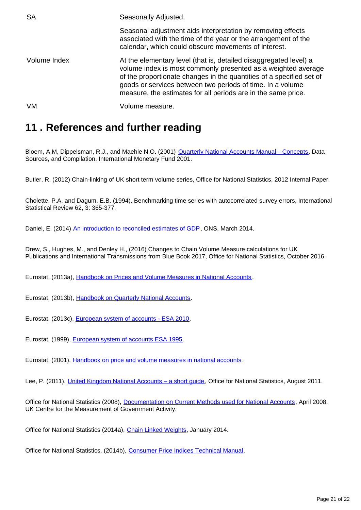| <b>SA</b>    | Seasonally Adjusted.                                                                                                                                                                                                                                                                                                                      |
|--------------|-------------------------------------------------------------------------------------------------------------------------------------------------------------------------------------------------------------------------------------------------------------------------------------------------------------------------------------------|
|              | Seasonal adjustment aids interpretation by removing effects<br>associated with the time of the year or the arrangement of the<br>calendar, which could obscure movements of interest.                                                                                                                                                     |
| Volume Index | At the elementary level (that is, detailed disaggregated level) a<br>volume index is most commonly presented as a weighted average<br>of the proportionate changes in the quantities of a specified set of<br>goods or services between two periods of time. In a volume<br>measure, the estimates for all periods are in the same price. |
| VM           | Volume measure.                                                                                                                                                                                                                                                                                                                           |

# <span id="page-20-0"></span>**11 . References and further reading**

Bloem, A.M, Dippelsman, R.J., and Maehle N.O. (2001) **Quarterly National Accounts Manual–Concepts**, Data Sources, and Compilation, International Monetary Fund 2001.

Butler, R. (2012) Chain-linking of UK short term volume series, Office for National Statistics, 2012 Internal Paper.

Cholette, P.A. and Dagum, E.B. (1994). Benchmarking time series with autocorrelated survey errors, International Statistical Review 62, 3: 365-377.

Daniel, E. (2014) [An introduction to reconciled estimates of GDP,](http://www.ons.gov.uk/ons/guide-method/method-quality/specific/economy/national-accounts/articles/2011-present/an-introduction-to-reconciled-estimates-of-gdp.pdf) ONS, March 2014.

Drew, S., Hughes, M., and Denley H., (2016) Changes to Chain Volume Measure calculations for UK Publications and International Transmissions from Blue Book 2017, Office for National Statistics, October 2016.

Eurostat, (2013a), [Handbook on Prices and Volume Measures in National Accounts](https://circabc.europa.eu/sd/a/84005267-c6e2-4d35-a44c-bef5ee893946/Handbook_on_Prices&Volumes.pdf) .

Eurostat, (2013b), [Handbook on Quarterly National Accounts](http://ec.europa.eu/eurostat/documents/3859598/5936013/KS-GQ-13-004-EN.PDF/3544793c-0bde-4381-a7ad-a5cfe5d8c8d0).

Eurostat, (2013c), [European system of accounts - ESA 2010](http://ec.europa.eu/eurostat/web/products-manuals-and-guidelines/-/KS-02-13-269).

Eurostat, (1999), [European system of accounts ESA 1995](http://ec.europa.eu/eurostat/en/web/products-manuals-and-guidelines/-/CA-15-96-001).

Eurostat, (2001), [Handbook on price and volume measures in national accounts](http://ec.europa.eu/eurostat/ramon/statmanuals/files/KS-41-01-543-__-N-EN.pdf) .

Lee, P. (2011). [United Kingdom National Accounts – a short guide](http://www.ons.gov.uk/ons/rel/naa1-rd/national-accounts-concepts--sources-and-methods/august-2011/uk-national-accounts---a-short-guide.pdf), Office for National Statistics, August 2011.

Office for National Statistics (2008), [Documentation on Current Methods used for National Accounts](http://www.ons.gov.uk/ons/guide-method/ukcemga/publications-home/publications/archive/documentation-on-current-methods-used-for-national-accounts.pdf), April 2008, UK Centre for the Measurement of Government Activity.

Office for National Statistics (2014a), [Chain Linked Weights,](http://www.ons.gov.uk/ons/guide-method/method-quality/specific/economy/output-approach-to-gdp/concepts/chain-linked-weights.pdf) January 2014.

Office for National Statistics, (2014b), [Consumer Price Indices Technical Manual.](http://www.ons.gov.uk/ons/guide-method/user-guidance/prices/cpi-and-rpi/cpi-technical-manual/consumer-price-indices-technical-manual--2014.pdf)